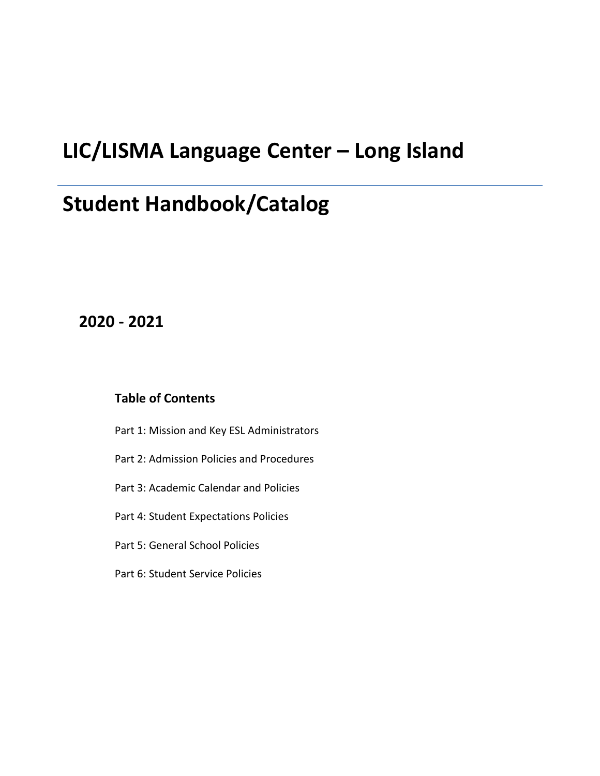# **LIC/LISMA Language Center – Long Island**

# **Student Handbook/Catalog**

## **2020 - 2021**

#### **Table of Contents**

- Part 1: Mission and Key ESL Administrators
- Part 2: Admission Policies and Procedures
- Part 3: Academic Calendar and Policies
- Part 4: Student Expectations Policies
- Part 5: General School Policies
- Part 6: Student Service Policies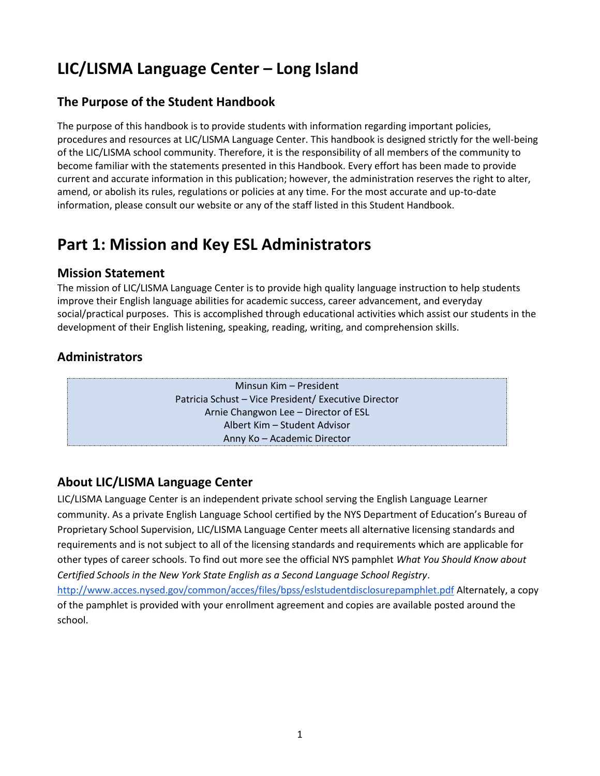## **LIC/LISMA Language Center – Long Island**

### **The Purpose of the Student Handbook**

The purpose of this handbook is to provide students with information regarding important policies, procedures and resources at LIC/LISMA Language Center. This handbook is designed strictly for the well-being of the LIC/LISMA school community. Therefore, it is the responsibility of all members of the community to become familiar with the statements presented in this Handbook. Every effort has been made to provide current and accurate information in this publication; however, the administration reserves the right to alter, amend, or abolish its rules, regulations or policies at any time. For the most accurate and up-to-date information, please consult our website or any of the staff listed in this Student Handbook.

## **Part 1: Mission and Key ESL Administrators**

#### **Mission Statement**

The mission of LIC/LISMA Language Center is to provide high quality language instruction to help students improve their English language abilities for academic success, career advancement, and everyday social/practical purposes. This is accomplished through educational activities which assist our students in the development of their English listening, speaking, reading, writing, and comprehension skills.

## **Administrators**

Minsun Kim – President Patricia Schust – Vice President/ Executive Director Arnie Changwon Lee – Director of ESL Albert Kim – Student Advisor Anny Ko – Academic Director

## **About LIC/LISMA Language Center**

LIC/LISMA Language Center is an independent private school serving the English Language Learner community. As a private English Language School certified by the NYS Department of Education's Bureau of Proprietary School Supervision, LIC/LISMA Language Center meets all alternative licensing standards and requirements and is not subject to all of the licensing standards and requirements which are applicable for other types of career schools. To find out more see the official NYS pamphlet *What You Should Know about Certified Schools in the New York State English as a Second Language School Registry*.

<http://www.acces.nysed.gov/common/acces/files/bpss/eslstudentdisclosurepamphlet.pdf> Alternately, a copy of the pamphlet is provided with your enrollment agreement and copies are available posted around the school.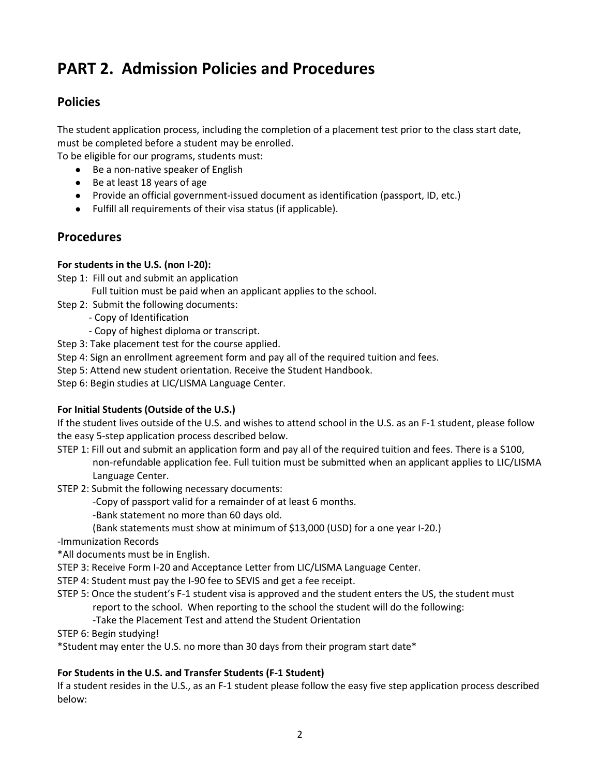## **PART 2. Admission Policies and Procedures**

#### **Policies**

The student application process, including the completion of a placement test prior to the class start date, must be completed before a student may be enrolled.

To be eligible for our programs, students must:

- Be a non-native speaker of English
- Be at least 18 years of age
- Provide an official government-issued document as identification (passport, ID, etc.)
- Fulfill all requirements of their visa status (if applicable).

#### **Procedures**

#### **For students in the U.S. (non I-20):**

- Step 1: Fill out and submit an application
	- Full tuition must be paid when an applicant applies to the school.
- Step 2: Submit the following documents:
	- Copy of Identification
		- Copy of highest diploma or transcript.
- Step 3: Take placement test for the course applied.
- Step 4: Sign an enrollment agreement form and pay all of the required tuition and fees.
- Step 5: Attend new student orientation. Receive the Student Handbook.
- Step 6: Begin studies at LIC/LISMA Language Center.

#### **For Initial Students (Outside of the U.S.)**

If the student lives outside of the U.S. and wishes to attend school in the U.S. as an F-1 student, please follow the easy 5-step application process described below.

- STEP 1: Fill out and submit an application form and pay all of the required tuition and fees. There is a \$100, non-refundable application fee. Full tuition must be submitted when an applicant applies to LIC/LISMA Language Center.
- STEP 2: Submit the following necessary documents:
	- -Copy of passport valid for a remainder of at least 6 months.
	- -Bank statement no more than 60 days old.
	- (Bank statements must show at minimum of \$13,000 (USD) for a one year I-20.)
- -Immunization Records
- \*All documents must be in English.
- STEP 3: Receive Form I-20 and Acceptance Letter from LIC/LISMA Language Center.
- STEP 4: Student must pay the I-90 fee to SEVIS and get a fee receipt.
- STEP 5: Once the student's F-1 student visa is approved and the student enters the US, the student must report to the school. When reporting to the school the student will do the following:
	- -Take the Placement Test and attend the Student Orientation
- STEP 6: Begin studying!
- \*Student may enter the U.S. no more than 30 days from their program start date\*

#### **For Students in the U.S. and Transfer Students (F-1 Student)**

If a student resides in the U.S., as an F-1 student please follow the easy five step application process described below: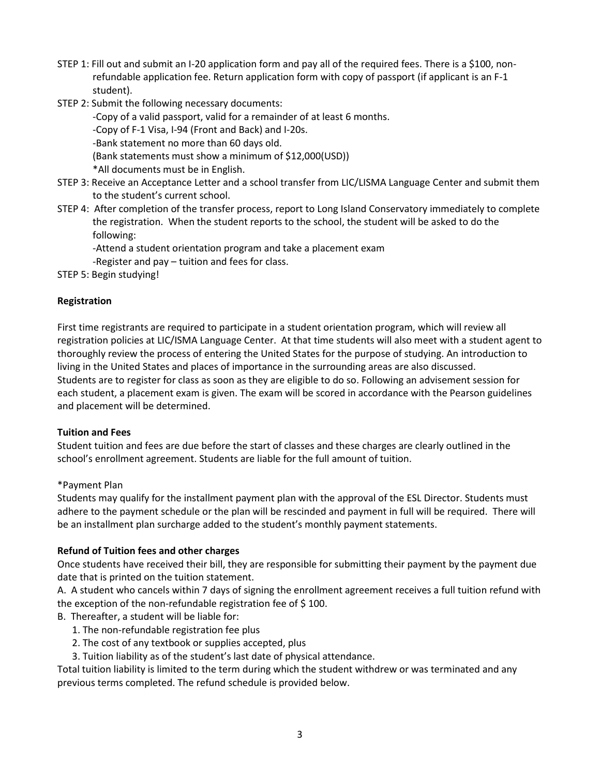- STEP 1: Fill out and submit an I-20 application form and pay all of the required fees. There is a \$100, nonrefundable application fee. Return application form with copy of passport (if applicant is an F-1 student).
- STEP 2: Submit the following necessary documents:

-Copy of a valid passport, valid for a remainder of at least 6 months. -Copy of F-1 Visa, I-94 (Front and Back) and I-20s. -Bank statement no more than 60 days old. (Bank statements must show a minimum of \$12,000(USD)) \*All documents must be in English.

- STEP 3: Receive an Acceptance Letter and a school transfer from LIC/LISMA Language Center and submit them to the student's current school.
- STEP 4: After completion of the transfer process, report to Long Island Conservatory immediately to complete the registration. When the student reports to the school, the student will be asked to do the following:

-Attend a student orientation program and take a placement exam

-Register and pay – tuition and fees for class.

STEP 5: Begin studying!

#### **Registration**

First time registrants are required to participate in a student orientation program, which will review all registration policies at LIC/ISMA Language Center. At that time students will also meet with a student agent to thoroughly review the process of entering the United States for the purpose of studying. An introduction to living in the United States and places of importance in the surrounding areas are also discussed. Students are to register for class as soon as they are eligible to do so. Following an advisement session for each student, a placement exam is given. The exam will be scored in accordance with the Pearson guidelines and placement will be determined.

#### **Tuition and Fees**

Student tuition and fees are due before the start of classes and these charges are clearly outlined in the school's enrollment agreement. Students are liable for the full amount of tuition.

#### \*Payment Plan

Students may qualify for the installment payment plan with the approval of the ESL Director. Students must adhere to the payment schedule or the plan will be rescinded and payment in full will be required. There will be an installment plan surcharge added to the student's monthly payment statements.

#### **Refund of Tuition fees and other charges**

Once students have received their bill, they are responsible for submitting their payment by the payment due date that is printed on the tuition statement.

A. A student who cancels within 7 days of signing the enrollment agreement receives a full tuition refund with the exception of the non-refundable registration fee of \$ 100.

B. Thereafter, a student will be liable for:

- 1. The non-refundable registration fee plus
- 2. The cost of any textbook or supplies accepted, plus
- 3. Tuition liability as of the student's last date of physical attendance.

Total tuition liability is limited to the term during which the student withdrew or was terminated and any previous terms completed. The refund schedule is provided below.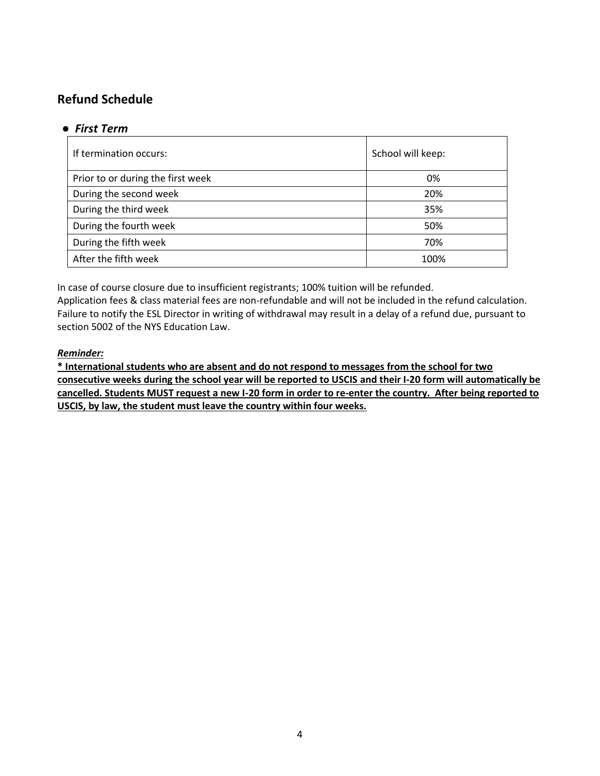## **Refund Schedule**

#### ● *First Term*

| If termination occurs:            | School will keep: |
|-----------------------------------|-------------------|
| Prior to or during the first week | 0%                |
| During the second week            | 20%               |
| During the third week             | 35%               |
| During the fourth week            | 50%               |
| During the fifth week             | 70%               |
| After the fifth week              | 100%              |

In case of course closure due to insufficient registrants; 100% tuition will be refunded.

Application fees & class material fees are non-refundable and will not be included in the refund calculation. Failure to notify the ESL Director in writing of withdrawal may result in a delay of a refund due, pursuant to section 5002 of the NYS Education Law.

#### *Reminder:*

**\* International students who are absent and do not respond to messages from the school for two consecutive weeks during the school year will be reported to USCIS and their I-20 form will automatically be cancelled. Students MUST request a new I-20 form in order to re-enter the country. After being reported to USCIS, by law, the student must leave the country within four weeks.**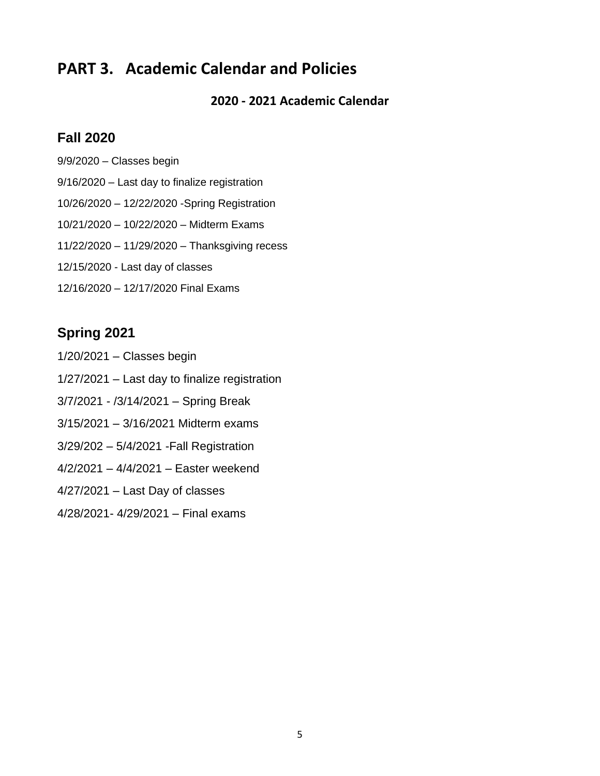## **PART 3. Academic Calendar and Policies**

**2020 - 2021 Academic Calendar**

## **Fall 2020**

9/9/2020 – Classes begin 9/16/2020 – Last day to finalize registration 10/26/2020 – 12/22/2020 -Spring Registration 10/21/2020 – 10/22/2020 – Midterm Exams 11/22/2020 – 11/29/2020 – Thanksgiving recess 12/15/2020 - Last day of classes 12/16/2020 – 12/17/2020 Final Exams

## **Spring 2021**

- 1/20/2021 Classes begin
- 1/27/2021 Last day to finalize registration
- 3/7/2021 /3/14/2021 Spring Break
- 3/15/2021 3/16/2021 Midterm exams
- 3/29/202 5/4/2021 -Fall Registration
- 4/2/2021 4/4/2021 Easter weekend
- 4/27/2021 Last Day of classes
- 4/28/2021- 4/29/2021 Final exams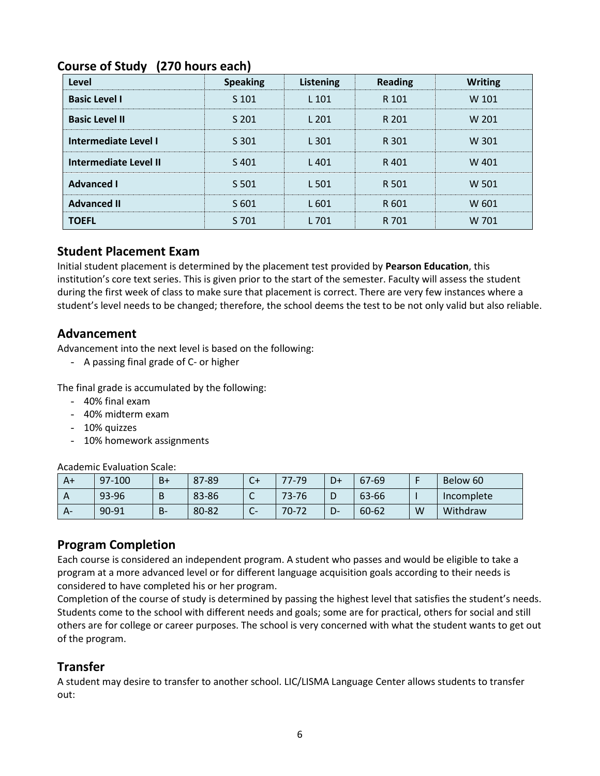| Level                        | <b>Speaking</b> | Listening | <b>Reading</b> | <b>Writing</b> |
|------------------------------|-----------------|-----------|----------------|----------------|
| <b>Basic Level I</b>         | S 101           | $L$ 101   | R 101          | W 101          |
| <b>Basic Level II</b>        | S 201           | L 201     | R 201          | W 201          |
| Intermediate Level I         | S 301           | L 301     | R 301          | W 301          |
| <b>Intermediate Level II</b> | S401            | L401      | R401           | W 401          |
| <b>Advanced I</b>            | S 501           | L 501     | R 501          | W 501          |
| <b>Advanced II</b>           | S 601           | L 601     | R 601          | W 601          |
| <b>TOEFL</b>                 | S 701           | L 701     | R 701          | W 701          |

### **Course of Study (270 hours each)**

#### **Student Placement Exam**

Initial student placement is determined by the placement test provided by **Pearson Education**, this institution's core text series. This is given prior to the start of the semester. Faculty will assess the student during the first week of class to make sure that placement is correct. There are very few instances where a student's level needs to be changed; therefore, the school deems the test to be not only valid but also reliable.

#### **Advancement**

Advancement into the next level is based on the following:

- A passing final grade of C- or higher

The final grade is accumulated by the following:

- 40% final exam
- 40% midterm exam
- 10% quizzes
- 10% homework assignments

Academic Evaluation Scale:

| A+ | 97-100 | $B+$  | 87-89 | C+ | $77 - 79$ | D+ | 67-69 |   | Below 60   |
|----|--------|-------|-------|----|-----------|----|-------|---|------------|
|    | 93-96  | B     | 83-86 | ◡  | 73-76     | D  | 63-66 |   | Incomplete |
| А- | 90-91  | $B -$ | 80-82 | ີ  | $70 - 72$ | D- | 60-62 | W | Withdraw   |

#### **Program Completion**

Each course is considered an independent program. A student who passes and would be eligible to take a program at a more advanced level or for different language acquisition goals according to their needs is considered to have completed his or her program.

Completion of the course of study is determined by passing the highest level that satisfies the student's needs. Students come to the school with different needs and goals; some are for practical, others for social and still others are for college or career purposes. The school is very concerned with what the student wants to get out of the program.

#### **Transfer**

A student may desire to transfer to another school. LIC/LISMA Language Center allows students to transfer out: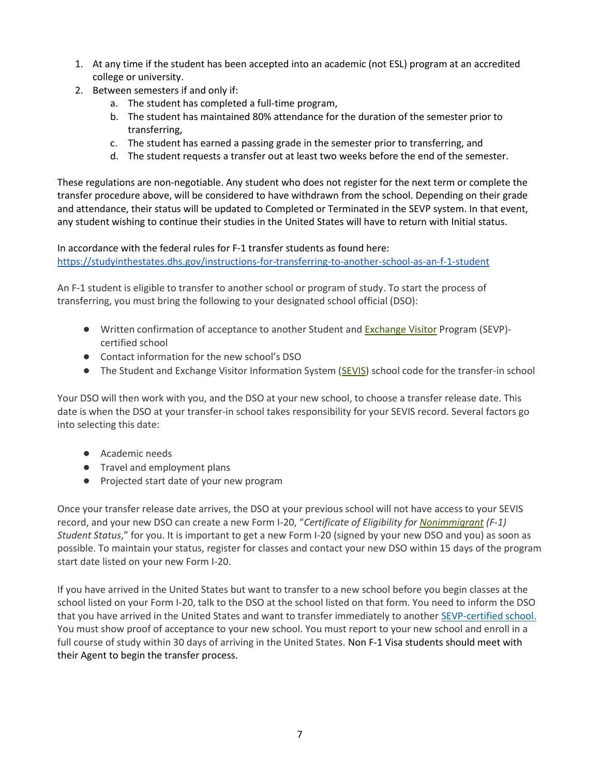- 1. At any time if the student has been accepted into an academic (not ESL) program at an accredited college or university.
- 2. Between semesters if and only if:
	- a. The student has completed a full-time program,
	- b. The student has maintained 80% attendance for the duration of the semester prior to transferring,
	- c. The student has earned a passing grade in the semester prior to transferring, and
	- d. The student requests a transfer out at least two weeks before the end of the semester.

These regulations are non-negotiable. Any student who does not register for the next term or complete the transfer procedure above, will be considered to have withdrawn from the school. Depending on their grade and attendance, their status will be updated to Completed or Terminated in the SEVP system. In that event, any student wishing to continue their studies in the United States will have to return with Initial status.

In accordance with the federal rules for F-1 transfer students as found here: <https://studyinthestates.dhs.gov/instructions-for-transferring-to-another-school-as-an-f-1-student>

An F-1 student is eligible to transfer to another school or program of study. To start the process of transferring, you must bring the following to your designated school official (DSO):

- Written confirmation of acceptance to another Student and [Exchange Visitor](https://studyinthestates.dhs.gov/glossary/E/#Exchange%20Visitor) Program (SEVP) certified school
- Contact information for the new school's DSO
- The Student and Exchange Visitor Information System [\(SEVIS\)](https://studyinthestates.dhs.gov/glossary/S/#SEVIS) school code for the transfer-in school

Your DSO will then work with you, and the DSO at your new school, to choose a transfer release date. This date is when the DSO at your transfer-in school takes responsibility for your SEVIS record. Several factors go into selecting this date:

- Academic needs
- Travel and employment plans
- Projected start date of your new program

Once your transfer release date arrives, the DSO at your previous school will not have access to your SEVIS record, and your new DSO can create a new Form I-20, "*Certificate of Eligibility for [Nonimmigrant](https://studyinthestates.dhs.gov/glossary/N/#Nonimmigrant) (F-1) Student Status*," for you. It is important to get a new Form I-20 (signed by your new DSO and you) as soon as possible. To maintain your status, register for classes and contact your new DSO within 15 days of the program start date listed on your new Form I-20.

If you have arrived in the United States but want to transfer to a new school before you begin classes at the school listed on your Form I-20, talk to the DSO at the school listed on that form. You need to inform the DSO that you have arrived in the United States and want to transfer immediately to another [SEVP-certified school.](https://studyinthestates.dhs.gov/school-search) You must show proof of acceptance to your new school. You must report to your new school and enroll in a full course of study within 30 days of arriving in the United States. Non F-1 Visa students should meet with their Agent to begin the transfer process.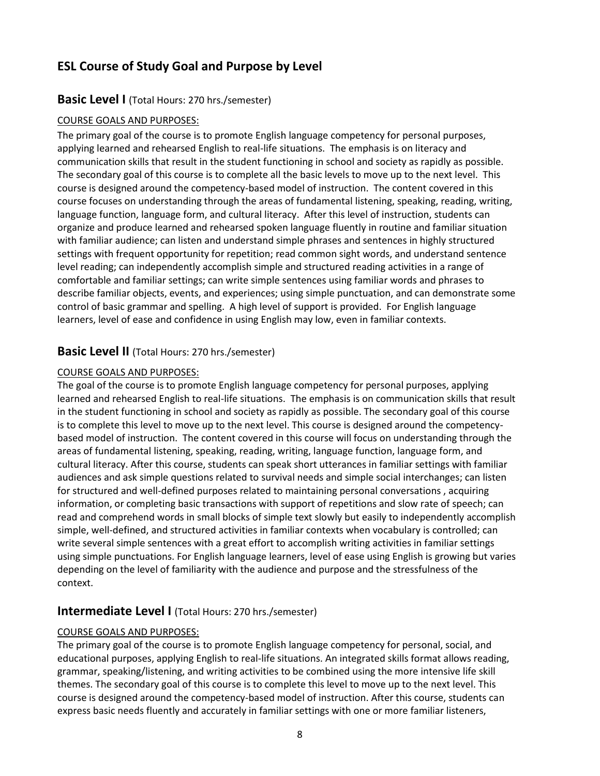## **ESL Course of Study Goal and Purpose by Level**

#### **Basic Level I** (Total Hours: 270 hrs./semester)

#### COURSE GOALS AND PURPOSES:

The primary goal of the course is to promote English language competency for personal purposes, applying learned and rehearsed English to real-life situations. The emphasis is on literacy and communication skills that result in the student functioning in school and society as rapidly as possible. The secondary goal of this course is to complete all the basic levels to move up to the next level. This course is designed around the competency-based model of instruction. The content covered in this course focuses on understanding through the areas of fundamental listening, speaking, reading, writing, language function, language form, and cultural literacy. After this level of instruction, students can organize and produce learned and rehearsed spoken language fluently in routine and familiar situation with familiar audience; can listen and understand simple phrases and sentences in highly structured settings with frequent opportunity for repetition; read common sight words, and understand sentence level reading; can independently accomplish simple and structured reading activities in a range of comfortable and familiar settings; can write simple sentences using familiar words and phrases to describe familiar objects, events, and experiences; using simple punctuation, and can demonstrate some control of basic grammar and spelling. A high level of support is provided. For English language learners, level of ease and confidence in using English may low, even in familiar contexts.

#### **Basic Level II** (Total Hours: 270 hrs./semester)

#### COURSE GOALS AND PURPOSES:

The goal of the course is to promote English language competency for personal purposes, applying learned and rehearsed English to real-life situations. The emphasis is on communication skills that result in the student functioning in school and society as rapidly as possible. The secondary goal of this course is to complete this level to move up to the next level. This course is designed around the competencybased model of instruction. The content covered in this course will focus on understanding through the areas of fundamental listening, speaking, reading, writing, language function, language form, and cultural literacy. After this course, students can speak short utterances in familiar settings with familiar audiences and ask simple questions related to survival needs and simple social interchanges; can listen for structured and well-defined purposes related to maintaining personal conversations , acquiring information, or completing basic transactions with support of repetitions and slow rate of speech; can read and comprehend words in small blocks of simple text slowly but easily to independently accomplish simple, well-defined, and structured activities in familiar contexts when vocabulary is controlled; can write several simple sentences with a great effort to accomplish writing activities in familiar settings using simple punctuations. For English language learners, level of ease using English is growing but varies depending on the level of familiarity with the audience and purpose and the stressfulness of the context.

#### **Intermediate Level I** (Total Hours: 270 hrs./semester)

#### COURSE GOALS AND PURPOSES:

The primary goal of the course is to promote English language competency for personal, social, and educational purposes, applying English to real-life situations. An integrated skills format allows reading, grammar, speaking/listening, and writing activities to be combined using the more intensive life skill themes. The secondary goal of this course is to complete this level to move up to the next level. This course is designed around the competency-based model of instruction. After this course, students can express basic needs fluently and accurately in familiar settings with one or more familiar listeners,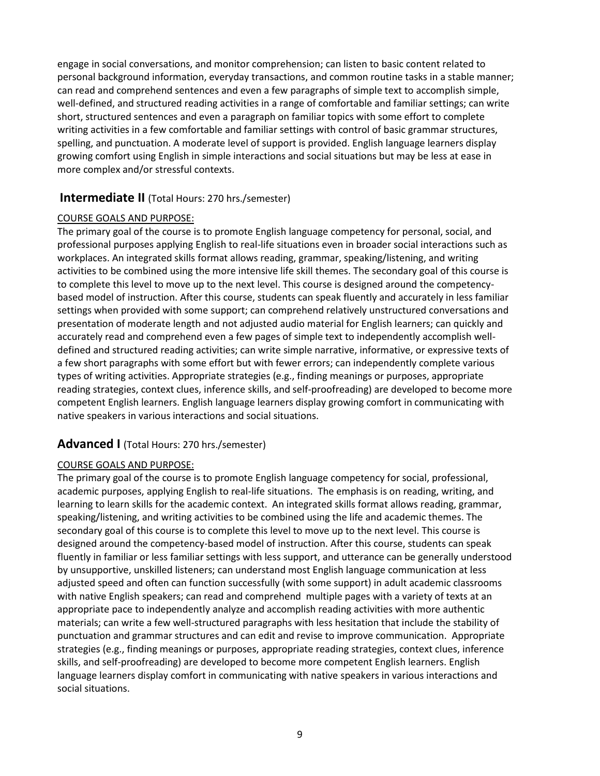engage in social conversations, and monitor comprehension; can listen to basic content related to personal background information, everyday transactions, and common routine tasks in a stable manner; can read and comprehend sentences and even a few paragraphs of simple text to accomplish simple, well-defined, and structured reading activities in a range of comfortable and familiar settings; can write short, structured sentences and even a paragraph on familiar topics with some effort to complete writing activities in a few comfortable and familiar settings with control of basic grammar structures, spelling, and punctuation. A moderate level of support is provided. English language learners display growing comfort using English in simple interactions and social situations but may be less at ease in more complex and/or stressful contexts.

#### **Intermediate II** (Total Hours: 270 hrs./semester)

#### COURSE GOALS AND PURPOSE:

The primary goal of the course is to promote English language competency for personal, social, and professional purposes applying English to real-life situations even in broader social interactions such as workplaces. An integrated skills format allows reading, grammar, speaking/listening, and writing activities to be combined using the more intensive life skill themes. The secondary goal of this course is to complete this level to move up to the next level. This course is designed around the competencybased model of instruction. After this course, students can speak fluently and accurately in less familiar settings when provided with some support; can comprehend relatively unstructured conversations and presentation of moderate length and not adjusted audio material for English learners; can quickly and accurately read and comprehend even a few pages of simple text to independently accomplish welldefined and structured reading activities; can write simple narrative, informative, or expressive texts of a few short paragraphs with some effort but with fewer errors; can independently complete various types of writing activities. Appropriate strategies (e.g., finding meanings or purposes, appropriate reading strategies, context clues, inference skills, and self-proofreading) are developed to become more competent English learners. English language learners display growing comfort in communicating with native speakers in various interactions and social situations.

#### **Advanced I** (Total Hours: 270 hrs./semester)

#### COURSE GOALS AND PURPOSE:

The primary goal of the course is to promote English language competency for social, professional, academic purposes, applying English to real-life situations. The emphasis is on reading, writing, and learning to learn skills for the academic context. An integrated skills format allows reading, grammar, speaking/listening, and writing activities to be combined using the life and academic themes. The secondary goal of this course is to complete this level to move up to the next level. This course is designed around the competency-based model of instruction. After this course, students can speak fluently in familiar or less familiar settings with less support, and utterance can be generally understood by unsupportive, unskilled listeners; can understand most English language communication at less adjusted speed and often can function successfully (with some support) in adult academic classrooms with native English speakers; can read and comprehend multiple pages with a variety of texts at an appropriate pace to independently analyze and accomplish reading activities with more authentic materials; can write a few well-structured paragraphs with less hesitation that include the stability of punctuation and grammar structures and can edit and revise to improve communication. Appropriate strategies (e.g., finding meanings or purposes, appropriate reading strategies, context clues, inference skills, and self-proofreading) are developed to become more competent English learners. English language learners display comfort in communicating with native speakers in various interactions and social situations.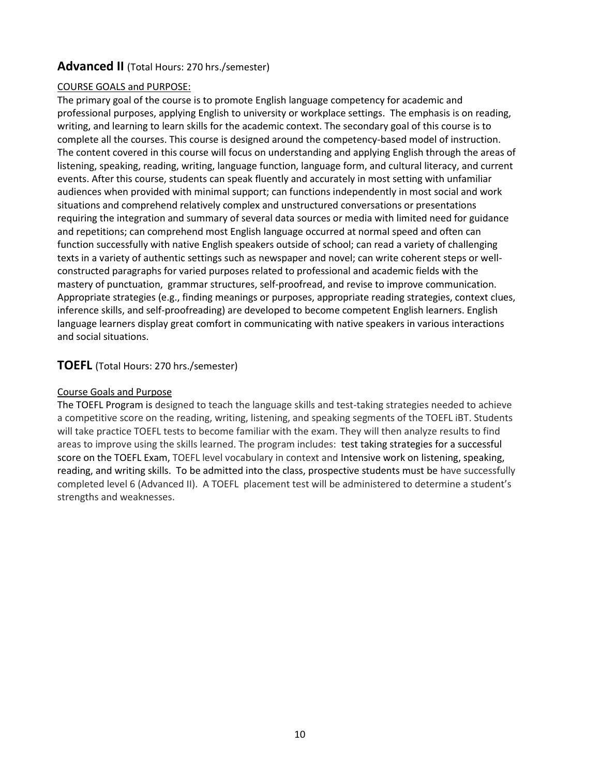#### **Advanced II** (Total Hours: 270 hrs./semester)

#### COURSE GOALS and PURPOSE:

The primary goal of the course is to promote English language competency for academic and professional purposes, applying English to university or workplace settings. The emphasis is on reading, writing, and learning to learn skills for the academic context. The secondary goal of this course is to complete all the courses. This course is designed around the competency-based model of instruction. The content covered in this course will focus on understanding and applying English through the areas of listening, speaking, reading, writing, language function, language form, and cultural literacy, and current events. After this course, students can speak fluently and accurately in most setting with unfamiliar audiences when provided with minimal support; can functions independently in most social and work situations and comprehend relatively complex and unstructured conversations or presentations requiring the integration and summary of several data sources or media with limited need for guidance and repetitions; can comprehend most English language occurred at normal speed and often can function successfully with native English speakers outside of school; can read a variety of challenging texts in a variety of authentic settings such as newspaper and novel; can write coherent steps or wellconstructed paragraphs for varied purposes related to professional and academic fields with the mastery of punctuation, grammar structures, self-proofread, and revise to improve communication. Appropriate strategies (e.g., finding meanings or purposes, appropriate reading strategies, context clues, inference skills, and self-proofreading) are developed to become competent English learners. English language learners display great comfort in communicating with native speakers in various interactions and social situations.

#### **TOEFL** (Total Hours: 270 hrs./semester)

#### Course Goals and Purpose

The TOEFL Program is designed to teach the language skills and test-taking strategies needed to achieve a competitive score on the reading, writing, listening, and speaking segments of the TOEFL iBT. Students will take practice TOEFL tests to become familiar with the exam. They will then analyze results to find areas to improve using the skills learned. The program includes: test taking strategies for a successful score on the TOEFL Exam, TOEFL level vocabulary in context and Intensive work on listening, speaking, reading, and writing skills. To be admitted into the class, prospective students must be have successfully completed level 6 (Advanced II). A TOEFL placement test will be administered to determine a student's strengths and weaknesses.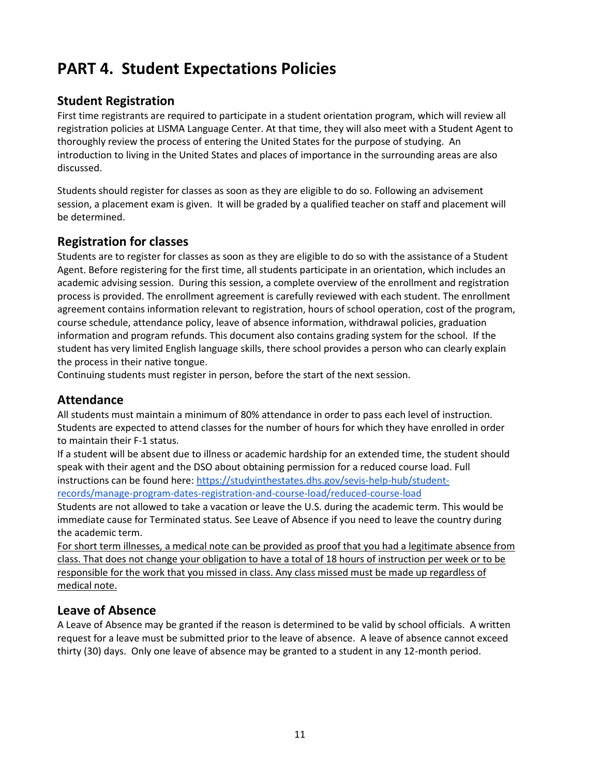## **PART 4. Student Expectations Policies**

#### **Student Registration**

First time registrants are required to participate in a student orientation program, which will review all registration policies at LISMA Language Center. At that time, they will also meet with a Student Agent to thoroughly review the process of entering the United States for the purpose of studying. An introduction to living in the United States and places of importance in the surrounding areas are also discussed.

Students should register for classes as soon as they are eligible to do so. Following an advisement session, a placement exam is given. It will be graded by a qualified teacher on staff and placement will be determined.

#### **Registration for classes**

Students are to register for classes as soon as they are eligible to do so with the assistance of a Student Agent. Before registering for the first time, all students participate in an orientation, which includes an academic advising session. During this session, a complete overview of the enrollment and registration process is provided. The enrollment agreement is carefully reviewed with each student. The enrollment agreement contains information relevant to registration, hours of school operation, cost of the program, course schedule, attendance policy, leave of absence information, withdrawal policies, graduation information and program refunds. This document also contains grading system for the school. If the student has very limited English language skills, there school provides a person who can clearly explain the process in their native tongue.

Continuing students must register in person, before the start of the next session.

#### **Attendance**

All students must maintain a minimum of 80% attendance in order to pass each level of instruction. Students are expected to attend classes for the number of hours for which they have enrolled in order to maintain their F-1 status.

If a student will be absent due to illness or academic hardship for an extended time, the student should speak with their agent and the DSO about obtaining permission for a reduced course load. Full instructions can be found here[: https://studyinthestates.dhs.gov/sevis-help-hub/student](https://studyinthestates.dhs.gov/sevis-help-hub/student-records/manage-program-dates-registration-and-course-load/reduced-course-load)[records/manage-program-dates-registration-and-course-load/reduced-course-load](https://studyinthestates.dhs.gov/sevis-help-hub/student-records/manage-program-dates-registration-and-course-load/reduced-course-load)

Students are not allowed to take a vacation or leave the U.S. during the academic term. This would be immediate cause for Terminated status. See Leave of Absence if you need to leave the country during the academic term.

For short term illnesses, a medical note can be provided as proof that you had a legitimate absence from class. That does not change your obligation to have a total of 18 hours of instruction per week or to be responsible for the work that you missed in class. Any class missed must be made up regardless of medical note.

#### **Leave of Absence**

A Leave of Absence may be granted if the reason is determined to be valid by school officials. A written request for a leave must be submitted prior to the leave of absence. A leave of absence cannot exceed thirty (30) days. Only one leave of absence may be granted to a student in any 12-month period.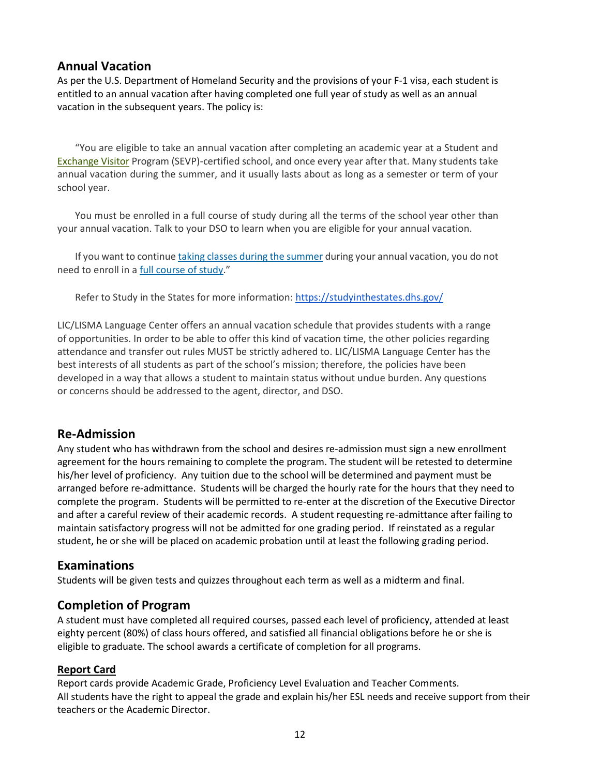#### **Annual Vacation**

As per the U.S. Department of Homeland Security and the provisions of your F-1 visa, each student is entitled to an annual vacation after having completed one full year of study as well as an annual vacation in the subsequent years. The policy is:

"You are eligible to take an annual vacation after completing an academic year at a Student and [Exchange Visitor](https://studyinthestates.dhs.gov/glossary/E/#Exchange%20Visitor) Program (SEVP)-certified school, and once every year after that. Many students take annual vacation during the summer, and it usually lasts about as long as a semester or term of your school year.

You must be enrolled in a full course of study during all the terms of the school year other than your annual vacation. Talk to your DSO to learn when you are eligible for your annual vacation.

If you want to continu[e taking classes during the summer](https://studyinthestates.dhs.gov/2015/08/questions-from-designated-school-officials-can-an-f-student-take-classes-in-the-summer) during your annual vacation, you do not need to enroll in [a full course of study](https://studyinthestates.dhs.gov/full-course-of-study)."

Refer to Study in the States for more information[: https://studyinthestates.dhs.gov/](https://studyinthestates.dhs.gov/)

LIC/LISMA Language Center offers an annual vacation schedule that provides students with a range of opportunities. In order to be able to offer this kind of vacation time, the other policies regarding attendance and transfer out rules MUST be strictly adhered to. LIC/LISMA Language Center has the best interests of all students as part of the school's mission; therefore, the policies have been developed in a way that allows a student to maintain status without undue burden. Any questions or concerns should be addressed to the agent, director, and DSO.

#### **Re-Admission**

Any student who has withdrawn from the school and desires re-admission must sign a new enrollment agreement for the hours remaining to complete the program. The student will be retested to determine his/her level of proficiency. Any tuition due to the school will be determined and payment must be arranged before re-admittance. Students will be charged the hourly rate for the hours that they need to complete the program. Students will be permitted to re-enter at the discretion of the Executive Director and after a careful review of their academic records. A student requesting re-admittance after failing to maintain satisfactory progress will not be admitted for one grading period. If reinstated as a regular student, he or she will be placed on academic probation until at least the following grading period.

#### **Examinations**

Students will be given tests and quizzes throughout each term as well as a midterm and final.

#### **Completion of Program**

A student must have completed all required courses, passed each level of proficiency, attended at least eighty percent (80%) of class hours offered, and satisfied all financial obligations before he or she is eligible to graduate. The school awards a certificate of completion for all programs.

#### **Report Card**

Report cards provide Academic Grade, Proficiency Level Evaluation and Teacher Comments. All students have the right to appeal the grade and explain his/her ESL needs and receive support from their teachers or the Academic Director.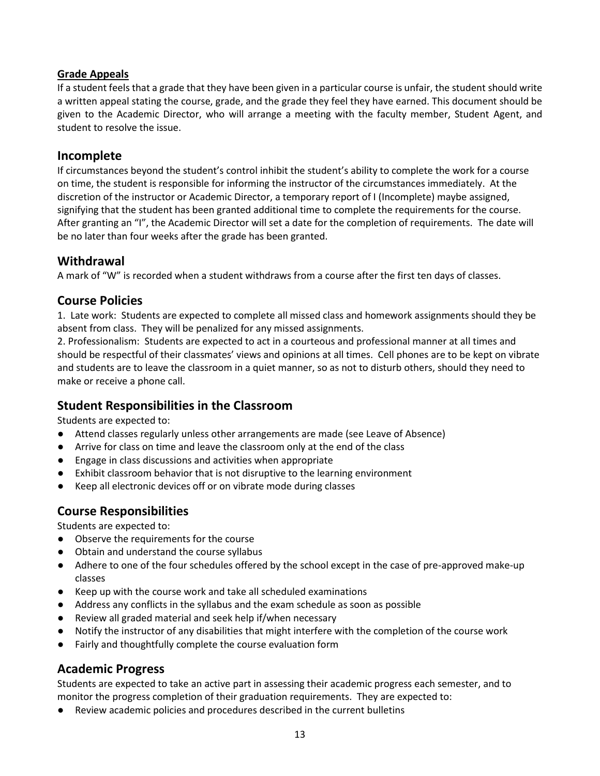#### **Grade Appeals**

If a student feels that a grade that they have been given in a particular course is unfair, the student should write a written appeal stating the course, grade, and the grade they feel they have earned. This document should be given to the Academic Director, who will arrange a meeting with the faculty member, Student Agent, and student to resolve the issue.

#### **Incomplete**

If circumstances beyond the student's control inhibit the student's ability to complete the work for a course on time, the student is responsible for informing the instructor of the circumstances immediately. At the discretion of the instructor or Academic Director, a temporary report of I (Incomplete) maybe assigned, signifying that the student has been granted additional time to complete the requirements for the course. After granting an "I", the Academic Director will set a date for the completion of requirements. The date will be no later than four weeks after the grade has been granted.

### **Withdrawal**

A mark of "W" is recorded when a student withdraws from a course after the first ten days of classes.

#### **Course Policies**

1. Late work: Students are expected to complete all missed class and homework assignments should they be absent from class. They will be penalized for any missed assignments.

2. Professionalism: Students are expected to act in a courteous and professional manner at all times and should be respectful of their classmates' views and opinions at all times. Cell phones are to be kept on vibrate and students are to leave the classroom in a quiet manner, so as not to disturb others, should they need to make or receive a phone call.

#### **Student Responsibilities in the Classroom**

Students are expected to:

- Attend classes regularly unless other arrangements are made (see Leave of Absence)
- Arrive for class on time and leave the classroom only at the end of the class
- Engage in class discussions and activities when appropriate
- Exhibit classroom behavior that is not disruptive to the learning environment
- Keep all electronic devices off or on vibrate mode during classes

## **Course Responsibilities**

Students are expected to:

- Observe the requirements for the course
- Obtain and understand the course syllabus
- Adhere to one of the four schedules offered by the school except in the case of pre-approved make-up classes
- Keep up with the course work and take all scheduled examinations
- Address any conflicts in the syllabus and the exam schedule as soon as possible
- Review all graded material and seek help if/when necessary
- Notify the instructor of any disabilities that might interfere with the completion of the course work
- Fairly and thoughtfully complete the course evaluation form

## **Academic Progress**

Students are expected to take an active part in assessing their academic progress each semester, and to monitor the progress completion of their graduation requirements. They are expected to:

● Review academic policies and procedures described in the current bulletins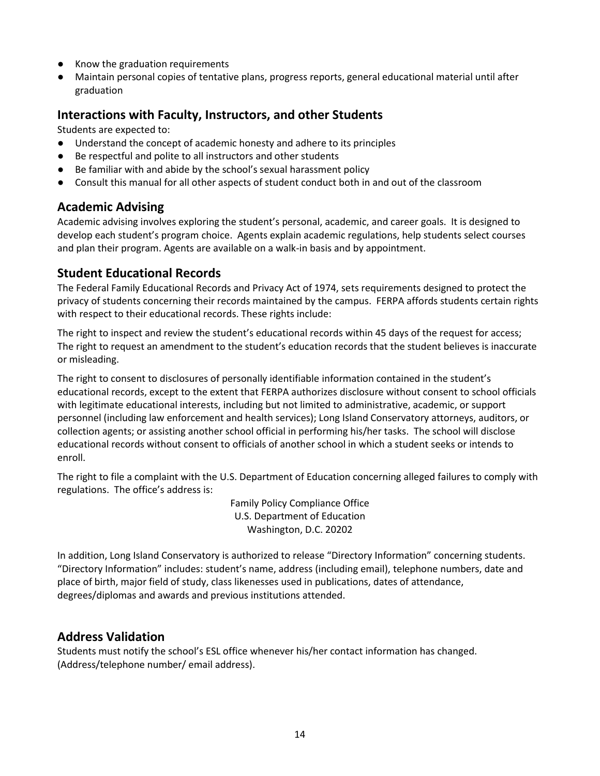- Know the graduation requirements
- Maintain personal copies of tentative plans, progress reports, general educational material until after graduation

#### **Interactions with Faculty, Instructors, and other Students**

Students are expected to:

- Understand the concept of academic honesty and adhere to its principles
- Be respectful and polite to all instructors and other students
- Be familiar with and abide by the school's sexual harassment policy
- Consult this manual for all other aspects of student conduct both in and out of the classroom

#### **Academic Advising**

Academic advising involves exploring the student's personal, academic, and career goals. It is designed to develop each student's program choice. Agents explain academic regulations, help students select courses and plan their program. Agents are available on a walk-in basis and by appointment.

#### **Student Educational Records**

The Federal Family Educational Records and Privacy Act of 1974, sets requirements designed to protect the privacy of students concerning their records maintained by the campus. FERPA affords students certain rights with respect to their educational records. These rights include:

The right to inspect and review the student's educational records within 45 days of the request for access; The right to request an amendment to the student's education records that the student believes is inaccurate or misleading.

The right to consent to disclosures of personally identifiable information contained in the student's educational records, except to the extent that FERPA authorizes disclosure without consent to school officials with legitimate educational interests, including but not limited to administrative, academic, or support personnel (including law enforcement and health services); Long Island Conservatory attorneys, auditors, or collection agents; or assisting another school official in performing his/her tasks. The school will disclose educational records without consent to officials of another school in which a student seeks or intends to enroll.

The right to file a complaint with the U.S. Department of Education concerning alleged failures to comply with regulations. The office's address is:

> Family Policy Compliance Office U.S. Department of Education Washington, D.C. 20202

In addition, Long Island Conservatory is authorized to release "Directory Information" concerning students. "Directory Information" includes: student's name, address (including email), telephone numbers, date and place of birth, major field of study, class likenesses used in publications, dates of attendance, degrees/diplomas and awards and previous institutions attended.

#### **Address Validation**

Students must notify the school's ESL office whenever his/her contact information has changed. (Address/telephone number/ email address).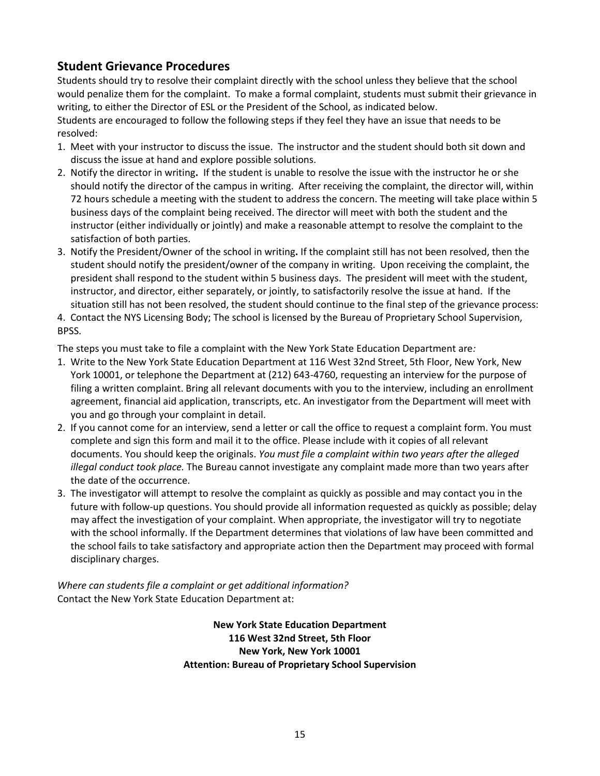## **Student Grievance Procedures**

Students should try to resolve their complaint directly with the school unless they believe that the school would penalize them for the complaint. To make a formal complaint, students must submit their grievance in writing, to either the Director of ESL or the President of the School, as indicated below.

Students are encouraged to follow the following steps if they feel they have an issue that needs to be resolved:

- 1. Meet with your instructor to discuss the issue. The instructor and the student should both sit down and discuss the issue at hand and explore possible solutions.
- 2. Notify the director in writing**.** If the student is unable to resolve the issue with the instructor he or she should notify the director of the campus in writing. After receiving the complaint, the director will, within 72 hours schedule a meeting with the student to address the concern. The meeting will take place within 5 business days of the complaint being received. The director will meet with both the student and the instructor (either individually or jointly) and make a reasonable attempt to resolve the complaint to the satisfaction of both parties.
- 3. Notify the President/Owner of the school in writing**.** If the complaint still has not been resolved, then the student should notify the president/owner of the company in writing. Upon receiving the complaint, the president shall respond to the student within 5 business days. The president will meet with the student, instructor, and director, either separately, or jointly, to satisfactorily resolve the issue at hand. If the situation still has not been resolved, the student should continue to the final step of the grievance process:
- 4. Contact the NYS Licensing Body; The school is licensed by the Bureau of Proprietary School Supervision, BPSS.

The steps you must take to file a complaint with the New York State Education Department are*:*

- 1. Write to the New York State Education Department at 116 West 32nd Street, 5th Floor, New York, New York 10001, or telephone the Department at (212) 643-4760, requesting an interview for the purpose of filing a written complaint. Bring all relevant documents with you to the interview, including an enrollment agreement, financial aid application, transcripts, etc. An investigator from the Department will meet with you and go through your complaint in detail.
- 2. If you cannot come for an interview, send a letter or call the office to request a complaint form. You must complete and sign this form and mail it to the office. Please include with it copies of all relevant documents. You should keep the originals. *You must file a complaint within two years after the alleged illegal conduct took place.* The Bureau cannot investigate any complaint made more than two years after the date of the occurrence.
- 3. The investigator will attempt to resolve the complaint as quickly as possible and may contact you in the future with follow-up questions. You should provide all information requested as quickly as possible; delay may affect the investigation of your complaint. When appropriate, the investigator will try to negotiate with the school informally. If the Department determines that violations of law have been committed and the school fails to take satisfactory and appropriate action then the Department may proceed with formal disciplinary charges.

*Where can students file a complaint or get additional information?* Contact the New York State Education Department at:

> **New York State Education Department 116 West 32nd Street, 5th Floor New York, New York 10001 Attention: Bureau of Proprietary School Supervision**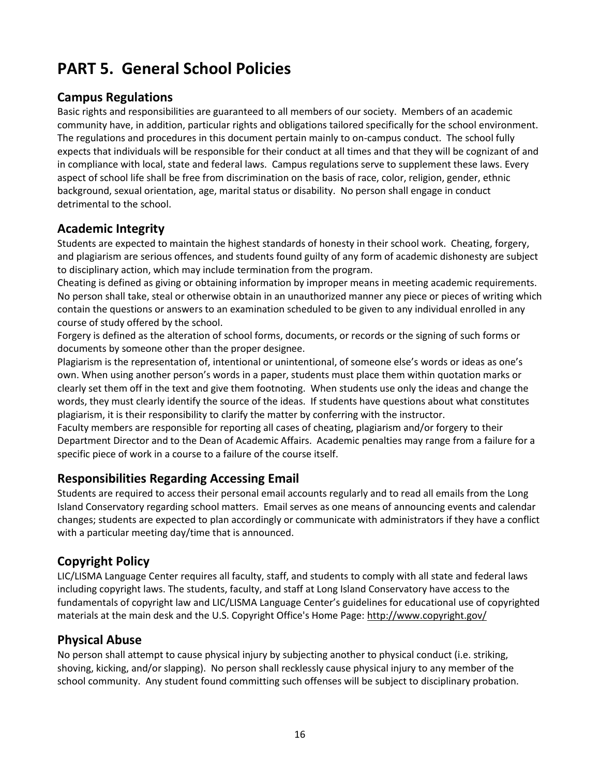## **PART 5. General School Policies**

#### **Campus Regulations**

Basic rights and responsibilities are guaranteed to all members of our society. Members of an academic community have, in addition, particular rights and obligations tailored specifically for the school environment. The regulations and procedures in this document pertain mainly to on-campus conduct. The school fully expects that individuals will be responsible for their conduct at all times and that they will be cognizant of and in compliance with local, state and federal laws. Campus regulations serve to supplement these laws. Every aspect of school life shall be free from discrimination on the basis of race, color, religion, gender, ethnic background, sexual orientation, age, marital status or disability. No person shall engage in conduct detrimental to the school.

## **Academic Integrity**

Students are expected to maintain the highest standards of honesty in their school work. Cheating, forgery, and plagiarism are serious offences, and students found guilty of any form of academic dishonesty are subject to disciplinary action, which may include termination from the program.

Cheating is defined as giving or obtaining information by improper means in meeting academic requirements. No person shall take, steal or otherwise obtain in an unauthorized manner any piece or pieces of writing which contain the questions or answers to an examination scheduled to be given to any individual enrolled in any course of study offered by the school.

Forgery is defined as the alteration of school forms, documents, or records or the signing of such forms or documents by someone other than the proper designee.

Plagiarism is the representation of, intentional or unintentional, of someone else's words or ideas as one's own. When using another person's words in a paper, students must place them within quotation marks or clearly set them off in the text and give them footnoting. When students use only the ideas and change the words, they must clearly identify the source of the ideas. If students have questions about what constitutes plagiarism, it is their responsibility to clarify the matter by conferring with the instructor.

Faculty members are responsible for reporting all cases of cheating, plagiarism and/or forgery to their Department Director and to the Dean of Academic Affairs. Academic penalties may range from a failure for a specific piece of work in a course to a failure of the course itself.

## **Responsibilities Regarding Accessing Email**

Students are required to access their personal email accounts regularly and to read all emails from the Long Island Conservatory regarding school matters. Email serves as one means of announcing events and calendar changes; students are expected to plan accordingly or communicate with administrators if they have a conflict with a particular meeting day/time that is announced.

## **Copyright Policy**

LIC/LISMA Language Center requires all faculty, staff, and students to comply with all state and federal laws including copyright laws. The students, faculty, and staff at Long Island Conservatory have access to the fundamentals of copyright law and LIC/LISMA Language Center's guidelines for educational use of copyrighted materials at the main desk and the U.S. Copyright Office's Home Page[: http://www.copyright.gov/](http://www.copyright.gov/)

#### **Physical Abuse**

No person shall attempt to cause physical injury by subjecting another to physical conduct (i.e. striking, shoving, kicking, and/or slapping). No person shall recklessly cause physical injury to any member of the school community. Any student found committing such offenses will be subject to disciplinary probation.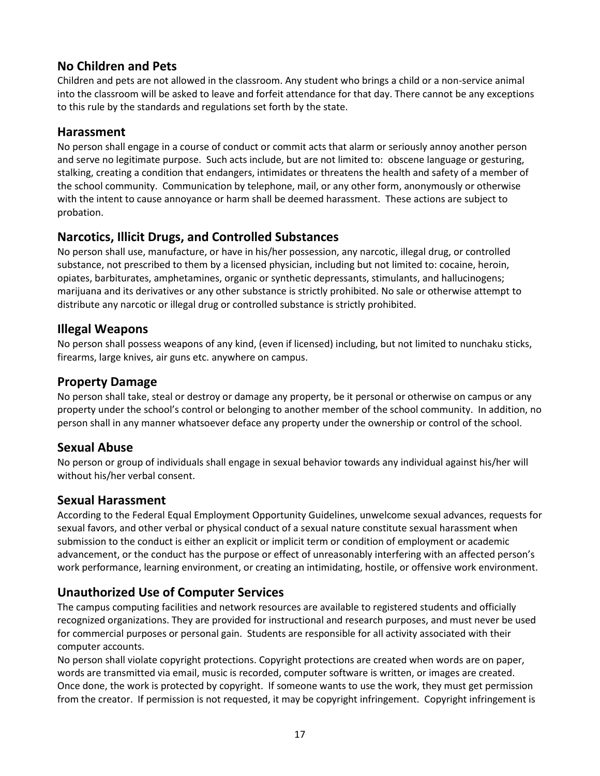### **No Children and Pets**

Children and pets are not allowed in the classroom. Any student who brings a child or a non-service animal into the classroom will be asked to leave and forfeit attendance for that day. There cannot be any exceptions to this rule by the standards and regulations set forth by the state.

#### **Harassment**

No person shall engage in a course of conduct or commit acts that alarm or seriously annoy another person and serve no legitimate purpose. Such acts include, but are not limited to: obscene language or gesturing, stalking, creating a condition that endangers, intimidates or threatens the health and safety of a member of the school community. Communication by telephone, mail, or any other form, anonymously or otherwise with the intent to cause annoyance or harm shall be deemed harassment. These actions are subject to probation.

## **Narcotics, Illicit Drugs, and Controlled Substances**

No person shall use, manufacture, or have in his/her possession, any narcotic, illegal drug, or controlled substance, not prescribed to them by a licensed physician, including but not limited to: cocaine, heroin, opiates, barbiturates, amphetamines, organic or synthetic depressants, stimulants, and hallucinogens; marijuana and its derivatives or any other substance is strictly prohibited. No sale or otherwise attempt to distribute any narcotic or illegal drug or controlled substance is strictly prohibited.

### **Illegal Weapons**

No person shall possess weapons of any kind, (even if licensed) including, but not limited to nunchaku sticks, firearms, large knives, air guns etc. anywhere on campus.

### **Property Damage**

No person shall take, steal or destroy or damage any property, be it personal or otherwise on campus or any property under the school's control or belonging to another member of the school community. In addition, no person shall in any manner whatsoever deface any property under the ownership or control of the school.

## **Sexual Abuse**

No person or group of individuals shall engage in sexual behavior towards any individual against his/her will without his/her verbal consent.

#### **Sexual Harassment**

According to the Federal Equal Employment Opportunity Guidelines, unwelcome sexual advances, requests for sexual favors, and other verbal or physical conduct of a sexual nature constitute sexual harassment when submission to the conduct is either an explicit or implicit term or condition of employment or academic advancement, or the conduct has the purpose or effect of unreasonably interfering with an affected person's work performance, learning environment, or creating an intimidating, hostile, or offensive work environment.

## **Unauthorized Use of Computer Services**

The campus computing facilities and network resources are available to registered students and officially recognized organizations. They are provided for instructional and research purposes, and must never be used for commercial purposes or personal gain. Students are responsible for all activity associated with their computer accounts.

No person shall violate copyright protections. Copyright protections are created when words are on paper, words are transmitted via email, music is recorded, computer software is written, or images are created. Once done, the work is protected by copyright. If someone wants to use the work, they must get permission from the creator. If permission is not requested, it may be copyright infringement. Copyright infringement is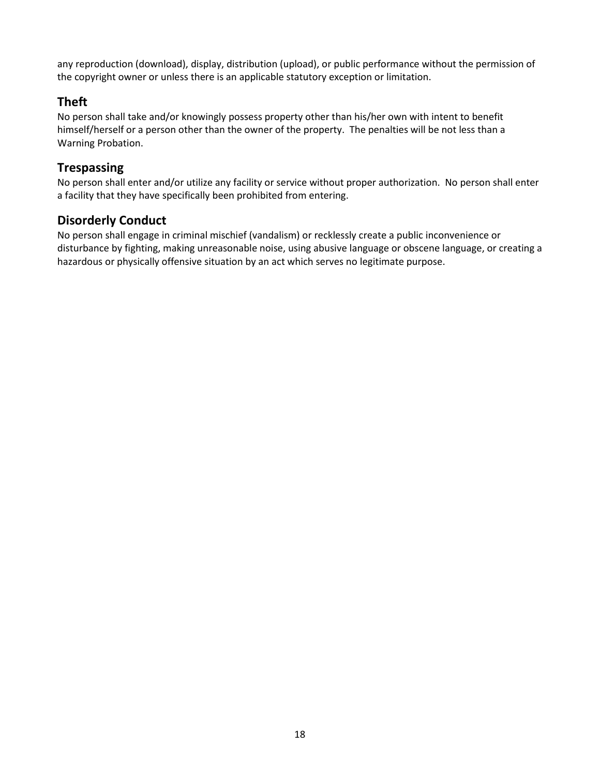any reproduction (download), display, distribution (upload), or public performance without the permission of the copyright owner or unless there is an applicable statutory exception or limitation.

### **Theft**

No person shall take and/or knowingly possess property other than his/her own with intent to benefit himself/herself or a person other than the owner of the property. The penalties will be not less than a Warning Probation.

### **Trespassing**

No person shall enter and/or utilize any facility or service without proper authorization. No person shall enter a facility that they have specifically been prohibited from entering.

### **Disorderly Conduct**

No person shall engage in criminal mischief (vandalism) or recklessly create a public inconvenience or disturbance by fighting, making unreasonable noise, using abusive language or obscene language, or creating a hazardous or physically offensive situation by an act which serves no legitimate purpose.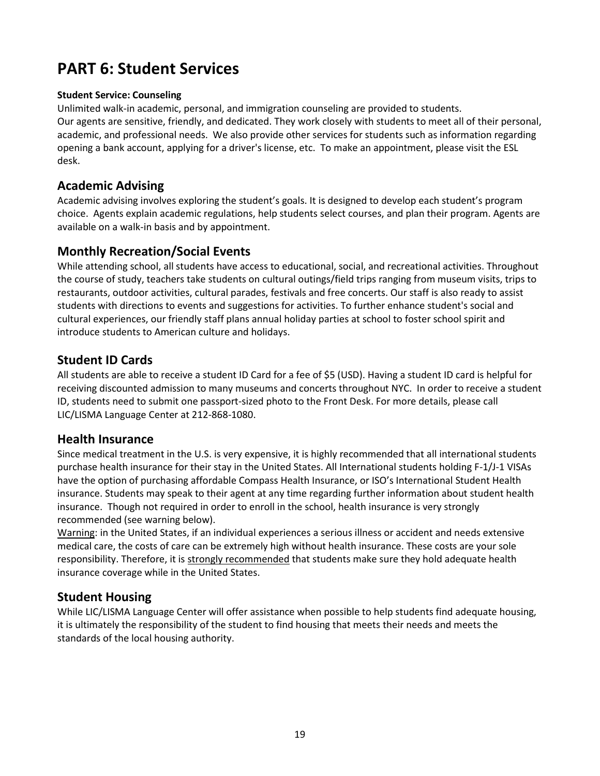## **PART 6: Student Services**

#### **Student Service: Counseling**

Unlimited walk-in academic, personal, and immigration counseling are provided to students. Our agents are sensitive, friendly, and dedicated. They work closely with students to meet all of their personal, academic, and professional needs. We also provide other services for students such as information regarding opening a bank account, applying for a driver's license, etc. To make an appointment, please visit the ESL desk.

#### **Academic Advising**

Academic advising involves exploring the student's goals. It is designed to develop each student's program choice. Agents explain academic regulations, help students select courses, and plan their program. Agents are available on a walk-in basis and by appointment.

#### **Monthly Recreation/Social Events**

While attending school, all students have access to educational, social, and recreational activities. Throughout the course of study, teachers take students on cultural outings/field trips ranging from museum visits, trips to restaurants, outdoor activities, cultural parades, festivals and free concerts. Our staff is also ready to assist students with directions to events and suggestions for activities. To further enhance student's social and cultural experiences, our friendly staff plans annual holiday parties at school to foster school spirit and introduce students to American culture and holidays.

#### **Student ID Cards**

All students are able to receive a student ID Card for a fee of \$5 (USD). Having a student ID card is helpful for receiving discounted admission to many museums and concerts throughout NYC. In order to receive a student ID, students need to submit one passport-sized photo to the Front Desk. For more details, please call LIC/LISMA Language Center at 212-868-1080.

#### **Health Insurance**

Since medical treatment in the U.S. is very expensive, it is highly recommended that all international students purchase health insurance for their stay in the United States. All International students holding F-1/J-1 VISAs have the option of purchasing affordable Compass Health Insurance, or ISO's International Student Health insurance. Students may speak to their agent at any time regarding further information about student health insurance. Though not required in order to enroll in the school, health insurance is very strongly recommended (see warning below).

Warning: in the United States, if an individual experiences a serious illness or accident and needs extensive medical care, the costs of care can be extremely high without health insurance. These costs are your sole responsibility. Therefore, it is strongly recommended that students make sure they hold adequate health insurance coverage while in the United States.

#### **Student Housing**

While LIC/LISMA Language Center will offer assistance when possible to help students find adequate housing, it is ultimately the responsibility of the student to find housing that meets their needs and meets the standards of the local housing authority.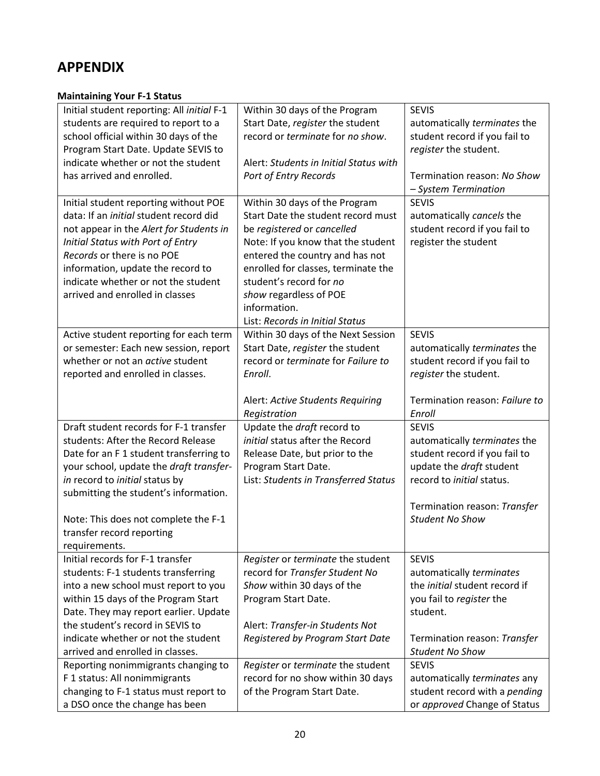## **APPENDIX**

#### **Maintaining Your F-1 Status**

| Initial student reporting: All initial F-1    | Within 30 days of the Program          | <b>SEVIS</b>                   |
|-----------------------------------------------|----------------------------------------|--------------------------------|
| students are required to report to a          | Start Date, register the student       | automatically terminates the   |
| school official within 30 days of the         | record or terminate for no show.       | student record if you fail to  |
| Program Start Date. Update SEVIS to           |                                        | register the student.          |
| indicate whether or not the student           | Alert: Students in Initial Status with |                                |
| has arrived and enrolled.                     | Port of Entry Records                  | Termination reason: No Show    |
|                                               |                                        | - System Termination           |
| Initial student reporting without POE         | Within 30 days of the Program          | <b>SEVIS</b>                   |
| data: If an <i>initigl</i> student record did | Start Date the student record must     | automatically cancels the      |
| not appear in the Alert for Students in       | be registered or cancelled             | student record if you fail to  |
| Initial Status with Port of Entry             | Note: If you know that the student     | register the student           |
| Records or there is no POE                    | entered the country and has not        |                                |
| information, update the record to             | enrolled for classes, terminate the    |                                |
| indicate whether or not the student           | student's record for no                |                                |
| arrived and enrolled in classes               | show regardless of POE                 |                                |
|                                               | information.                           |                                |
|                                               | List: Records in Initial Status        |                                |
| Active student reporting for each term        | Within 30 days of the Next Session     | <b>SEVIS</b>                   |
| or semester: Each new session, report         | Start Date, register the student       | automatically terminates the   |
| whether or not an <i>active</i> student       | record or terminate for Failure to     | student record if you fail to  |
| reported and enrolled in classes.             | Enroll.                                | register the student.          |
|                                               |                                        |                                |
|                                               | Alert: Active Students Requiring       | Termination reason: Failure to |
|                                               | Registration                           | Enroll                         |
| Draft student records for F-1 transfer        | Update the draft record to             | <b>SEVIS</b>                   |
| students: After the Record Release            | initial status after the Record        | automatically terminates the   |
| Date for an F 1 student transferring to       | Release Date, but prior to the         | student record if you fail to  |
|                                               |                                        | update the draft student       |
| your school, update the draft transfer-       | Program Start Date.                    | record to initial status.      |
| in record to initial status by                | List: Students in Transferred Status   |                                |
| submitting the student's information.         |                                        |                                |
|                                               |                                        | Termination reason: Transfer   |
| Note: This does not complete the F-1          |                                        | <b>Student No Show</b>         |
| transfer record reporting                     |                                        |                                |
| requirements.                                 |                                        |                                |
| Initial records for F-1 transfer              | Register or terminate the student      | <b>SEVIS</b>                   |
| students: F-1 students transferring           | record for Transfer Student No         | automatically terminates       |
| into a new school must report to you          | Show within 30 days of the             | the initial student record if  |
| within 15 days of the Program Start           | Program Start Date.                    | you fail to register the       |
| Date. They may report earlier. Update         |                                        | student.                       |
| the student's record in SEVIS to              | Alert: Transfer-in Students Not        |                                |
| indicate whether or not the student           | Registered by Program Start Date       | Termination reason: Transfer   |
| arrived and enrolled in classes.              |                                        | <b>Student No Show</b>         |
| Reporting nonimmigrants changing to           | Register or terminate the student      | <b>SEVIS</b>                   |
| F 1 status: All nonimmigrants                 | record for no show within 30 days      | automatically terminates any   |
| changing to F-1 status must report to         | of the Program Start Date.             | student record with a pending  |
| a DSO once the change has been                |                                        | or approved Change of Status   |